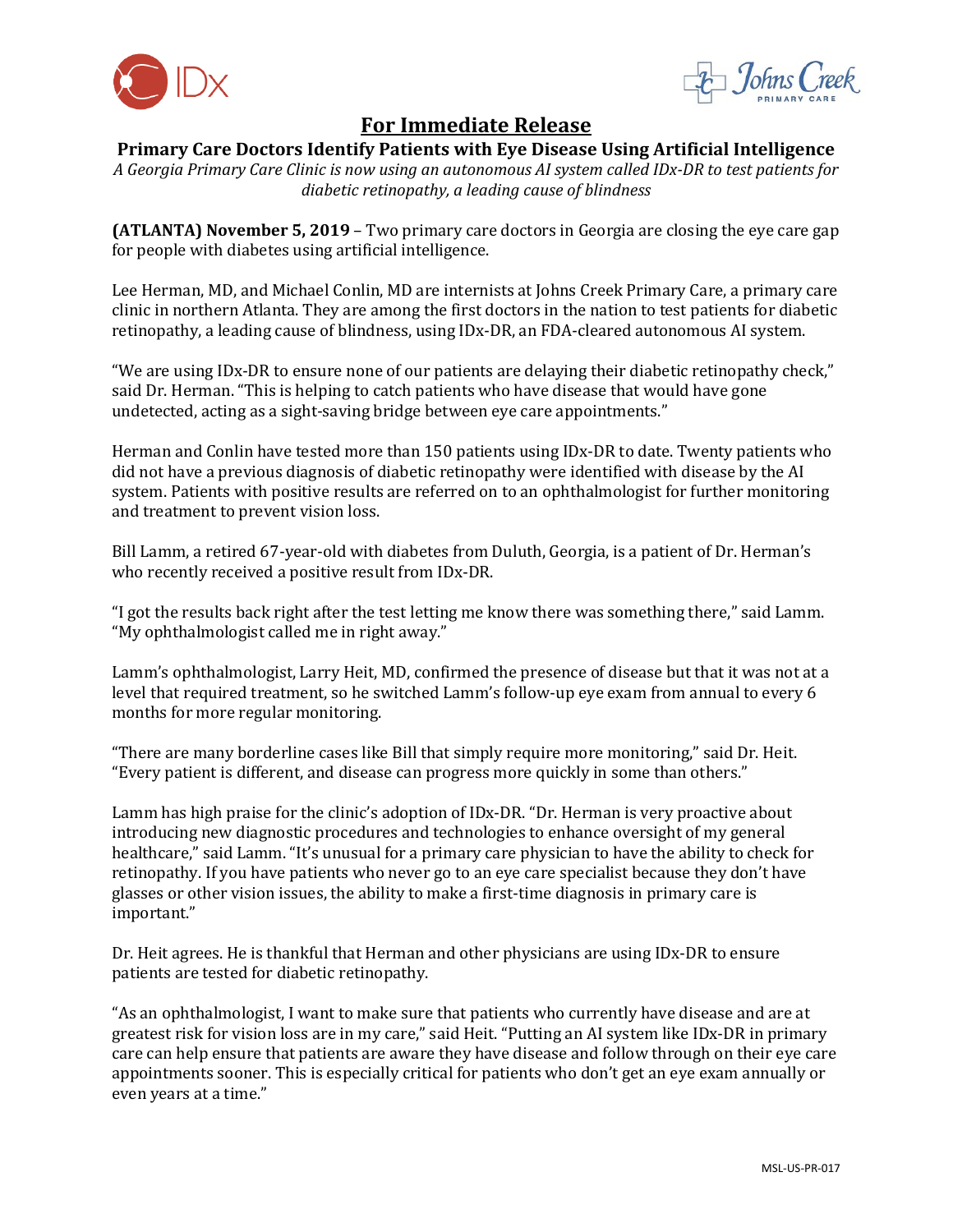



# **For Immediate Release**

## **Primary Care Doctors Identify Patients with Eye Disease Using Artificial Intelligence**

*A Georgia Primary Care Clinic is now using an autonomous AI system called IDx-DR to test patients for diabetic retinopathy, a leading cause of blindness*

**(ATLANTA) November 5, 2019** – Two primary care doctors in Georgia are closing the eye care gap for people with diabetes using artificial intelligence.

Lee Herman, MD, and Michael Conlin, MD are internists at Johns Creek Primary Care, a primary care clinic in northern Atlanta. They are among the first doctors in the nation to test patients for diabetic retinopathy, a leading cause of blindness, using IDx-DR, an FDA-cleared autonomous AI system.

"We are using IDx-DR to ensure none of our patients are delaying their diabetic retinopathy check," said Dr. Herman. "This is helping to catch patients who have disease that would have gone undetected, acting as a sight-saving bridge between eye care appointments."

Herman and Conlin have tested more than 150 patients using IDx-DR to date. Twenty patients who did not have a previous diagnosis of diabetic retinopathy were identified with disease by the AI system. Patients with positive results are referred on to an ophthalmologist for further monitoring and treatment to prevent vision loss.

Bill Lamm, a retired 67-year-old with diabetes from Duluth, Georgia, is a patient of Dr. Herman's who recently received a positive result from IDx-DR.

"I got the results back right after the test letting me know there was something there," said Lamm. "My ophthalmologist called me in right away."

Lamm's ophthalmologist, Larry Heit, MD, confirmed the presence of disease but that it was not at a level that required treatment, so he switched Lamm's follow-up eye exam from annual to every 6 months for more regular monitoring.

"There are many borderline cases like Bill that simply require more monitoring," said Dr. Heit. "Every patient is different, and disease can progress more quickly in some than others."

Lamm has high praise for the clinic's adoption of IDx-DR. "Dr. Herman is very proactive about introducing new diagnostic procedures and technologies to enhance oversight of my general healthcare," said Lamm. "It's unusual for a primary care physician to have the ability to check for retinopathy. If you have patients who never go to an eye care specialist because they don't have glasses or other vision issues, the ability to make a first-time diagnosis in primary care is important."

Dr. Heit agrees. He is thankful that Herman and other physicians are using IDx-DR to ensure patients are tested for diabetic retinopathy.

"As an ophthalmologist, I want to make sure that patients who currently have disease and are at greatest risk for vision loss are in my care," said Heit. "Putting an AI system like IDx-DR in primary care can help ensure that patients are aware they have disease and follow through on their eye care appointments sooner. This is especially critical for patients who don't get an eye exam annually or even years at a time."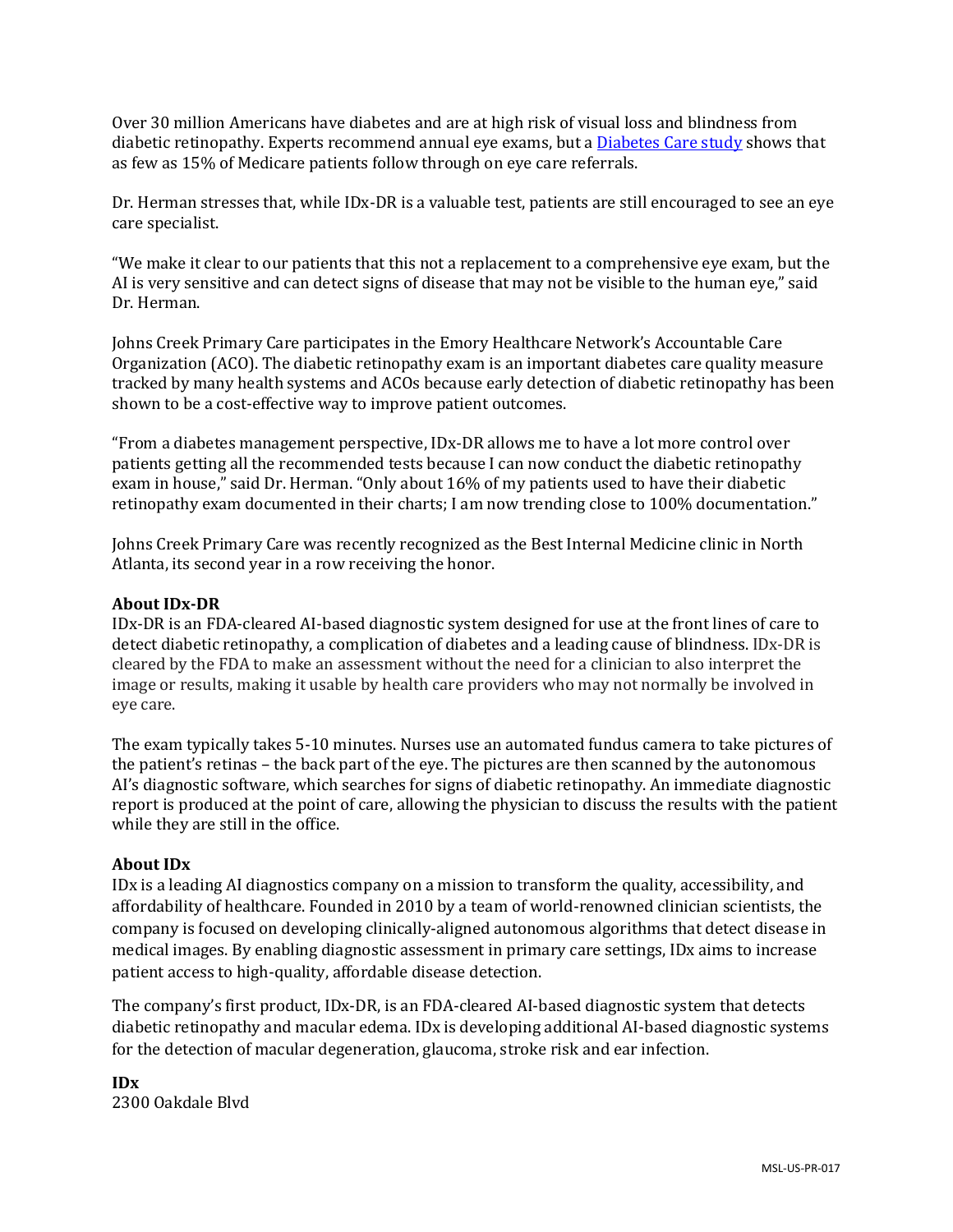Over 30 million Americans have diabetes and are at high risk of visual loss and blindness from diabetic retinopathy. Experts recommend annual eye exams, but [a Diabetes Care study](https://care.diabetesjournals.org/content/early/2018/12/20/dc18-0828) shows that as few as 15% of Medicare patients follow through on eye care referrals.

Dr. Herman stresses that, while IDx-DR is a valuable test, patients are still encouraged to see an eye care specialist.

"We make it clear to our patients that this not a replacement to a comprehensive eye exam, but the AI is very sensitive and can detect signs of disease that may not be visible to the human eye," said Dr. Herman.

Johns Creek Primary Care participates in the Emory Healthcare Network's Accountable Care Organization (ACO). The diabetic retinopathy exam is an important diabetes care quality measure tracked by many health systems and ACOs because early detection of diabetic retinopathy has been shown to be a cost-effective way to improve patient outcomes.

"From a diabetes management perspective, IDx-DR allows me to have a lot more control over patients getting all the recommended tests because I can now conduct the diabetic retinopathy exam in house," said Dr. Herman. "Only about 16% of my patients used to have their diabetic retinopathy exam documented in their charts; I am now trending close to 100% documentation."

Johns Creek Primary Care was recently recognized as the Best Internal Medicine clinic in North Atlanta, its second year in a row receiving the honor.

## **About IDx-DR**

IDx-DR is an FDA-cleared AI-based diagnostic system designed for use at the front lines of care to detect diabetic retinopathy, a complication of diabetes and a leading cause of blindness. IDx-DR is cleared by the FDA to make an assessment without the need for a clinician to also interpret the image or results, making it usable by health care providers who may not normally be involved in eye care.

The exam typically takes 5-10 minutes. Nurses use an automated fundus camera to take pictures of the patient's retinas – the back part of the eye. The pictures are then scanned by the autonomous AI's diagnostic software, which searches for signs of diabetic retinopathy. An immediate diagnostic report is produced at the point of care, allowing the physician to discuss the results with the patient while they are still in the office.

#### **About IDx**

IDx is a leading AI diagnostics company on a mission to transform the quality, accessibility, and affordability of healthcare. Founded in 2010 by a team of world-renowned clinician scientists, the company is focused on developing clinically-aligned autonomous algorithms that detect disease in medical images. By enabling diagnostic assessment in primary care settings, IDx aims to increase patient access to high-quality, affordable disease detection.

The company's first product, IDx-DR, is an FDA-cleared AI-based diagnostic system that detects diabetic retinopathy and macular edema. IDx is developing additional AI-based diagnostic systems for the detection of macular degeneration, glaucoma, stroke risk and ear infection.

**IDx** 2300 Oakdale Blvd